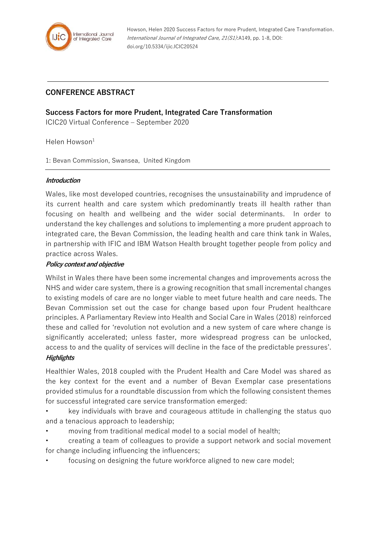

# **CONFERENCE ABSTRACT**

## **Success Factors for more Prudent, Integrated Care Transformation**

ICIC20 Virtual Conference – September 2020

Helen Howson $1$ 

1: Bevan Commission, Swansea, United Kingdom

#### **Introduction**

Wales, like most developed countries, recognises the unsustainability and imprudence of its current health and care system which predominantly treats ill health rather than focusing on health and wellbeing and the wider social determinants. In order to understand the key challenges and solutions to implementing a more prudent approach to integrated care, the Bevan Commission, the leading health and care think tank in Wales, in partnership with IFIC and IBM Watson Health brought together people from policy and practice across Wales.

#### **Policy context and objective**

Whilst in Wales there have been some incremental changes and improvements across the NHS and wider care system, there is a growing recognition that small incremental changes to existing models of care are no longer viable to meet future health and care needs. The Bevan Commission set out the case for change based upon four Prudent healthcare principles. A Parliamentary Review into Health and Social Care in Wales (2018) reinforced these and called for 'revolution not evolution and a new system of care where change is significantly accelerated; unless faster, more widespread progress can be unlocked, access to and the quality of services will decline in the face of the predictable pressures'.

### **Highlights**

Healthier Wales, 2018 coupled with the Prudent Health and Care Model was shared as the key context for the event and a number of Bevan Exemplar case presentations provided stimulus for a roundtable discussion from which the following consistent themes for successful integrated care service transformation emerged:

- key individuals with brave and courageous attitude in challenging the status quo and a tenacious approach to leadership;
- moving from traditional medical model to a social model of health;
- creating a team of colleagues to provide a support network and social movement for change including influencing the influencers;
- focusing on designing the future workforce aligned to new care model;